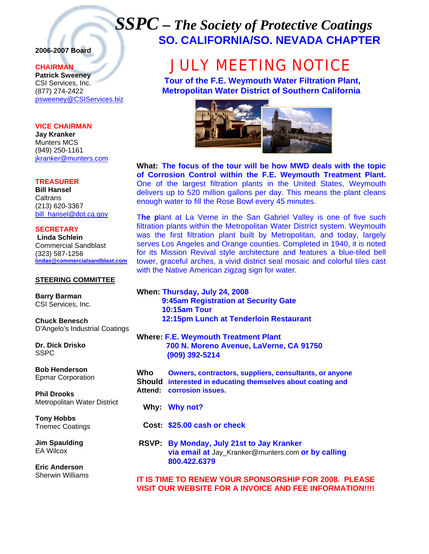## *SSPC – The Society of Protective Coatings* **SO. CALIFORNIA/SO. NEVADA CHAPTER**

#### **2006-2007 Board**

#### **CHAIRMAN**

**Patrick Sweeney** CSI Services, Inc. (877) 274-2422 psweeney@CSIServices.biz

#### **VICE CHAIRMAN**

**Jay Kranker** Munters MCS (949) 250-1161 jkranker@munters.com

#### **TREASURER**

**Bill Hansel Caltrans** (213) 620-3367 bill\_hansel@dot.ca.gov

**SECRETARY Linda Schlein** Commercial Sandblast (323) 587-1256 **lindas@commercialsandblast.com**

#### **STEERING COMMITTEE**

**Barry Barman**  CSI Services, Inc.

**Chuck Benesch**  D'Angelo's Industrial Coatings

**Dr. Dick Drisko SSPC** 

**Bob Henderson**  Epmar Corporation

**Phil Drooks**  Metropolitan Water District

**Tony Hobbs**  Tnemec Coatings

**Jim Spaulding**  EA Wilcox

**Eric Anderson**  Sherwin Williams

# JULY MEETING NOTICE

 **Tour of the F.E. Weymouth Water Filtration Plant, Metropolitan Water District of Southern California** 



**What: The focus of the tour will be how MWD deals with the topic of Corrosion Control within the F.E. Weymouth Treatment Plant.**  One of the largest filtration plants in the United States, Weymouth delivers up to 520 million gallons per day. This means the plant cleans enough water to fill the Rose Bowl every 45 minutes.

T**he p**lant at La Verne in the San Gabriel Valley is one of five such filtration plants within the Metropolitan Water District system. Weymouth was the first filtration plant built by Metropolitan, and today, largely serves Los Angeles and Orange counties. Completed in 1940, it is noted for its Mission Revival style architecture and features a blue-tiled bell tower, graceful arches, a vivid district seal mosaic and colorful tiles cast with the Native American zigzag sign for water.

**When: Thursday, July 24, 2008 9:45am Registration at Security Gate 10:15am Tour 12:15pm Lunch at Tenderloin Restaurant** 

**Where: F.E. Weymouth Treatment Plant 700 N. Moreno Avenue, LaVerne, CA 91750 (909) 392-5214**

**Who Owners, contractors, suppliers, consultants, or anyone Should interested in educating themselves about coating and Attend: corrosion issues.** 

 **Why: Why not?** 

 **Cost: \$25.00 cash or check** 

 **RSVP: By Monday, July 21st to Jay Kranker via email at** Jay\_Kranker@munters.com **or by calling 800.422.6379** 

**IT IS TIME TO RENEW YOUR SPONSORSHIP FOR 2008. PLEASE VISIT OUR WEBSITE FOR A INVOICE AND FEE INFORMATION!!!!**